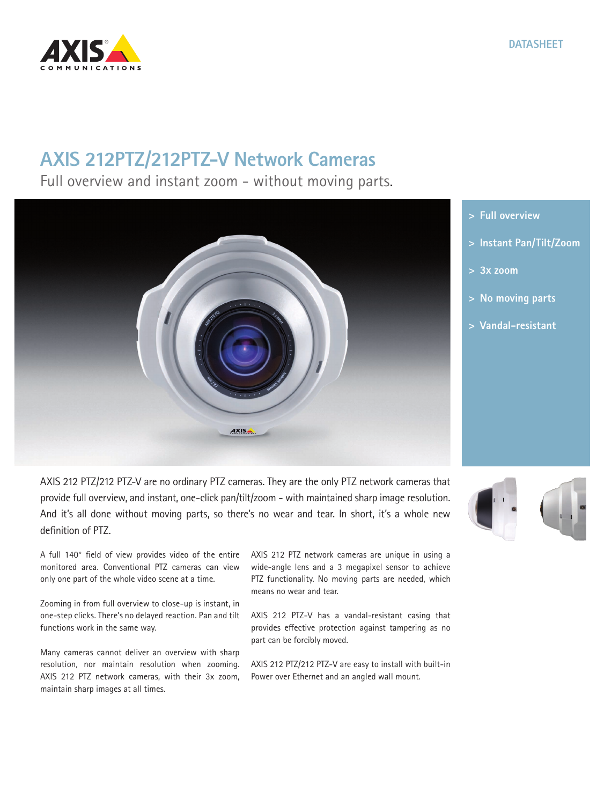## **CATIONS**

## **AXIS 212PTZ/212PTZ-V Network Cameras**

Full overview and instant zoom - without moving parts.

AXIS 212 PTZ/212 PTZ-V are no ordinary PTZ cameras. They are the only PTZ network cameras that provide full overview, and instant, one-click pan/tilt/zoom - with maintained sharp image resolution. And it's all done without moving parts, so there's no wear and tear. In short, it's a whole new definition of PTZ.

AXIS.

A full 140° field of view provides video of the entire monitored area. Conventional PTZ cameras can view only one part of the whole video scene at a time.

Zooming in from full overview to close-up is instant, in one-step clicks. There's no delayed reaction. Pan and tilt functions work in the same way.

Many cameras cannot deliver an overview with sharp resolution, nor maintain resolution when zooming. AXIS 212 PTZ network cameras, with their 3x zoom, maintain sharp images at all times.

AXIS 212 PTZ network cameras are unique in using a wide-angle lens and a 3 megapixel sensor to achieve PTZ functionality. No moving parts are needed, which means no wear and tear.

AXIS 212 PTZ-V has a vandal-resistant casing that provides effective protection against tampering as no part can be forcibly moved.

AXIS 212 PTZ/212 PTZ-V are easy to install with built-in Power over Ethernet and an angled wall mount.

**> Full overview**

- **> Instant Pan/Tilt/Zoom**
- **> 3x zoom**
- **> No moving parts**
- **> Vandal-resistant**